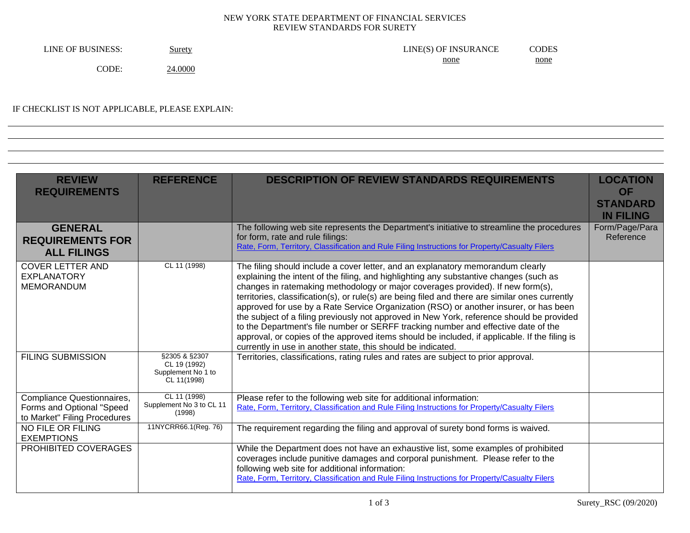## NEW YORK STATE DEPARTMENT OF FINANCIAL SERVICES REVIEW STANDARDS FOR SURETY

| LINE OF BUSINESS: | Surety<br>$\overline{\phantom{a}}$ | LINE(S) OF INSURANCE | CODES |
|-------------------|------------------------------------|----------------------|-------|
|                   |                                    | none                 | none  |
| CODE.             | 24.0000                            |                      |       |

## IF CHECKLIST IS NOT APPLICABLE, PLEASE EXPLAIN:

| <b>REVIEW</b><br><b>REQUIREMENTS</b>                                                    | <b>REFERENCE</b>                                                   | <b>DESCRIPTION OF REVIEW STANDARDS REQUIREMENTS</b>                                                                                                                                                                                                                                                                                                                                                                                                                                                                                                                                                                                                                                                                                                                                                          | <b>LOCATION</b><br><b>OF</b><br><b>STANDARD</b><br><b>IN FILING</b> |
|-----------------------------------------------------------------------------------------|--------------------------------------------------------------------|--------------------------------------------------------------------------------------------------------------------------------------------------------------------------------------------------------------------------------------------------------------------------------------------------------------------------------------------------------------------------------------------------------------------------------------------------------------------------------------------------------------------------------------------------------------------------------------------------------------------------------------------------------------------------------------------------------------------------------------------------------------------------------------------------------------|---------------------------------------------------------------------|
| <b>GENERAL</b><br><b>REQUIREMENTS FOR</b><br><b>ALL FILINGS</b>                         |                                                                    | The following web site represents the Department's initiative to streamline the procedures<br>for form, rate and rule filings:<br>Rate, Form, Territory, Classification and Rule Filing Instructions for Property/Casualty Filers                                                                                                                                                                                                                                                                                                                                                                                                                                                                                                                                                                            | Form/Page/Para<br>Reference                                         |
| <b>COVER LETTER AND</b><br><b>EXPLANATORY</b><br><b>MEMORANDUM</b>                      | CL 11 (1998)                                                       | The filing should include a cover letter, and an explanatory memorandum clearly<br>explaining the intent of the filing, and highlighting any substantive changes (such as<br>changes in ratemaking methodology or major coverages provided). If new form(s),<br>territories, classification(s), or rule(s) are being filed and there are similar ones currently<br>approved for use by a Rate Service Organization (RSO) or another insurer, or has been<br>the subject of a filing previously not approved in New York, reference should be provided<br>to the Department's file number or SERFF tracking number and effective date of the<br>approval, or copies of the approved items should be included, if applicable. If the filing is<br>currently in use in another state, this should be indicated. |                                                                     |
| <b>FILING SUBMISSION</b>                                                                | §2305 & §2307<br>CL 19 (1992)<br>Supplement No 1 to<br>CL 11(1998) | Territories, classifications, rating rules and rates are subject to prior approval.                                                                                                                                                                                                                                                                                                                                                                                                                                                                                                                                                                                                                                                                                                                          |                                                                     |
| Compliance Questionnaires,<br>Forms and Optional "Speed<br>to Market" Filing Procedures | CL 11 (1998)<br>Supplement No 3 to CL 11<br>(1998)                 | Please refer to the following web site for additional information:<br>Rate, Form, Territory, Classification and Rule Filing Instructions for Property/Casualty Filers                                                                                                                                                                                                                                                                                                                                                                                                                                                                                                                                                                                                                                        |                                                                     |
| NO FILE OR FILING<br><b>EXEMPTIONS</b>                                                  | 11NYCRR66.1(Reg. 76)                                               | The requirement regarding the filing and approval of surety bond forms is waived.                                                                                                                                                                                                                                                                                                                                                                                                                                                                                                                                                                                                                                                                                                                            |                                                                     |
| PROHIBITED COVERAGES                                                                    |                                                                    | While the Department does not have an exhaustive list, some examples of prohibited<br>coverages include punitive damages and corporal punishment. Please refer to the<br>following web site for additional information:<br>Rate, Form, Territory, Classification and Rule Filing Instructions for Property/Casualty Filers                                                                                                                                                                                                                                                                                                                                                                                                                                                                                   |                                                                     |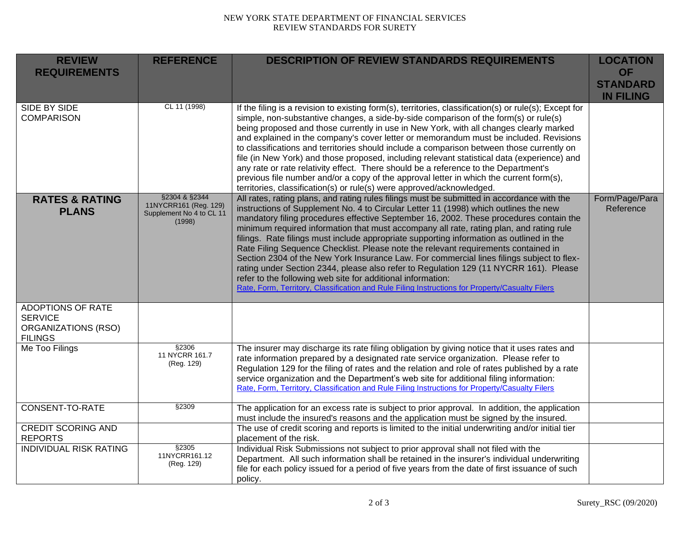## NEW YORK STATE DEPARTMENT OF FINANCIAL SERVICES REVIEW STANDARDS FOR SURETY

| <b>REVIEW</b><br><b>REQUIREMENTS</b>                                                       | <b>REFERENCE</b>                                                             | <b>DESCRIPTION OF REVIEW STANDARDS REQUIREMENTS</b>                                                                                                                                                                                                                                                                                                                                                                                                                                                                                                                                                                                                                                                                                                                                                                                                                                                               | <b>LOCATION</b><br><b>OF</b><br><b>STANDARD</b><br><b>IN FILING</b> |
|--------------------------------------------------------------------------------------------|------------------------------------------------------------------------------|-------------------------------------------------------------------------------------------------------------------------------------------------------------------------------------------------------------------------------------------------------------------------------------------------------------------------------------------------------------------------------------------------------------------------------------------------------------------------------------------------------------------------------------------------------------------------------------------------------------------------------------------------------------------------------------------------------------------------------------------------------------------------------------------------------------------------------------------------------------------------------------------------------------------|---------------------------------------------------------------------|
| SIDE BY SIDE<br><b>COMPARISON</b>                                                          | CL 11 (1998)                                                                 | If the filing is a revision to existing form(s), territories, classification(s) or rule(s); Except for<br>simple, non-substantive changes, a side-by-side comparison of the form(s) or rule(s)<br>being proposed and those currently in use in New York, with all changes clearly marked<br>and explained in the company's cover letter or memorandum must be included. Revisions<br>to classifications and territories should include a comparison between those currently on<br>file (in New York) and those proposed, including relevant statistical data (experience) and<br>any rate or rate relativity effect. There should be a reference to the Department's<br>previous file number and/or a copy of the approval letter in which the current form(s),<br>territories, classification(s) or rule(s) were approved/acknowledged.                                                                          |                                                                     |
| <b>RATES &amp; RATING</b><br><b>PLANS</b>                                                  | §2304 & §2344<br>11NYCRR161 (Reg. 129)<br>Supplement No 4 to CL 11<br>(1998) | All rates, rating plans, and rating rules filings must be submitted in accordance with the<br>instructions of Supplement No. 4 to Circular Letter 11 (1998) which outlines the new<br>mandatory filing procedures effective September 16, 2002. These procedures contain the<br>minimum required information that must accompany all rate, rating plan, and rating rule<br>filings. Rate filings must include appropriate supporting information as outlined in the<br>Rate Filing Sequence Checklist. Please note the relevant requirements contained in<br>Section 2304 of the New York Insurance Law. For commercial lines filings subject to flex-<br>rating under Section 2344, please also refer to Regulation 129 (11 NYCRR 161). Please<br>refer to the following web site for additional information:<br>Rate, Form, Territory, Classification and Rule Filing Instructions for Property/Casualty Filers | Form/Page/Para<br>Reference                                         |
| <b>ADOPTIONS OF RATE</b><br><b>SERVICE</b><br><b>ORGANIZATIONS (RSO)</b><br><b>FILINGS</b> |                                                                              |                                                                                                                                                                                                                                                                                                                                                                                                                                                                                                                                                                                                                                                                                                                                                                                                                                                                                                                   |                                                                     |
| Me Too Filings                                                                             | §2306<br>11 NYCRR 161.7<br>(Reg. 129)                                        | The insurer may discharge its rate filing obligation by giving notice that it uses rates and<br>rate information prepared by a designated rate service organization. Please refer to<br>Regulation 129 for the filing of rates and the relation and role of rates published by a rate<br>service organization and the Department's web site for additional filing information:<br>Rate, Form, Territory, Classification and Rule Filing Instructions for Property/Casualty Filers                                                                                                                                                                                                                                                                                                                                                                                                                                 |                                                                     |
| <b>CONSENT-TO-RATE</b>                                                                     | §2309                                                                        | The application for an excess rate is subject to prior approval. In addition, the application<br>must include the insured's reasons and the application must be signed by the insured.                                                                                                                                                                                                                                                                                                                                                                                                                                                                                                                                                                                                                                                                                                                            |                                                                     |
| <b>CREDIT SCORING AND</b><br><b>REPORTS</b>                                                |                                                                              | The use of credit scoring and reports is limited to the initial underwriting and/or initial tier<br>placement of the risk.                                                                                                                                                                                                                                                                                                                                                                                                                                                                                                                                                                                                                                                                                                                                                                                        |                                                                     |
| <b>INDIVIDUAL RISK RATING</b>                                                              | §2305<br>11NYCRR161.12<br>(Reg. 129)                                         | Individual Risk Submissions not subject to prior approval shall not filed with the<br>Department. All such information shall be retained in the insurer's individual underwriting<br>file for each policy issued for a period of five years from the date of first issuance of such<br>policy.                                                                                                                                                                                                                                                                                                                                                                                                                                                                                                                                                                                                                    |                                                                     |